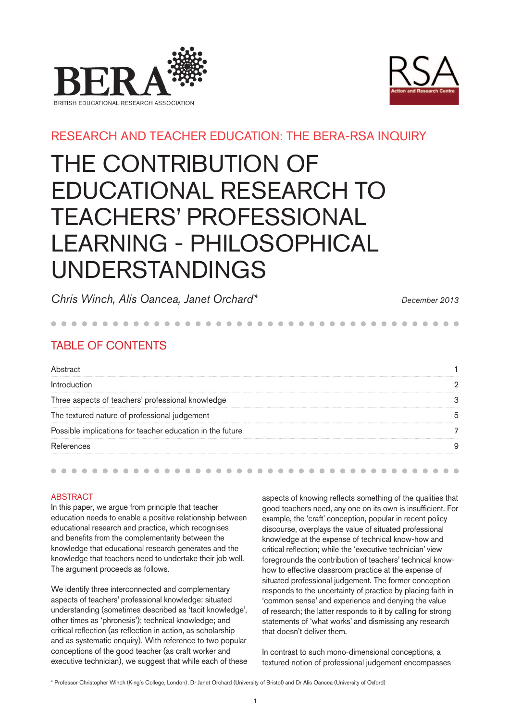

## Research and Teacher Education: the BERA-RSA Inquiry

# THE CONTRIBUTION OF Educational Research to Teachers' Professional Learning - Philosophical Understandings

*Chris Winch, Alis Oancea, Janet Orchard\* December 2013*

## Table of Contents

*<u><u><b>AAAAAAA</u>*</u></u>

| Three aspects of teachers' professional knowledge         |  |
|-----------------------------------------------------------|--|
| The textured nature of professional judgement             |  |
| Possible implications for teacher education in the future |  |
| References                                                |  |
|                                                           |  |

#### **ABSTRACT**

In this paper, we argue from principle that teacher education needs to enable a positive relationship between educational research and practice, which recognises and benefits from the complementarity between the knowledge that educational research generates and the knowledge that teachers need to undertake their job well. The argument proceeds as follows.

We identify three interconnected and complementary aspects of teachers' professional knowledge: situated understanding (sometimes described as 'tacit knowledge', other times as 'phronesis'); technical knowledge; and critical reflection (as reflection in action, as scholarship and as systematic enquiry). With reference to two popular conceptions of the good teacher (as craft worker and executive technician), we suggest that while each of these

aspects of knowing reflects something of the qualities that good teachers need, any one on its own is insufficient. For example, the 'craft' conception, popular in recent policy discourse, overplays the value of situated professional knowledge at the expense of technical know-how and critical reflection; while the 'executive technician' view foregrounds the contribution of teachers' technical knowhow to effective classroom practice at the expense of situated professional judgement. The former conception responds to the uncertainty of practice by placing faith in 'common sense' and experience and denying the value of research; the latter responds to it by calling for strong statements of 'what works' and dismissing any research that doesn't deliver them.

In contrast to such mono-dimensional conceptions, a textured notion of professional judgement encompasses

# BRITISH EDUCATIONAL RESEARCH ASSOCIATION



. . . . .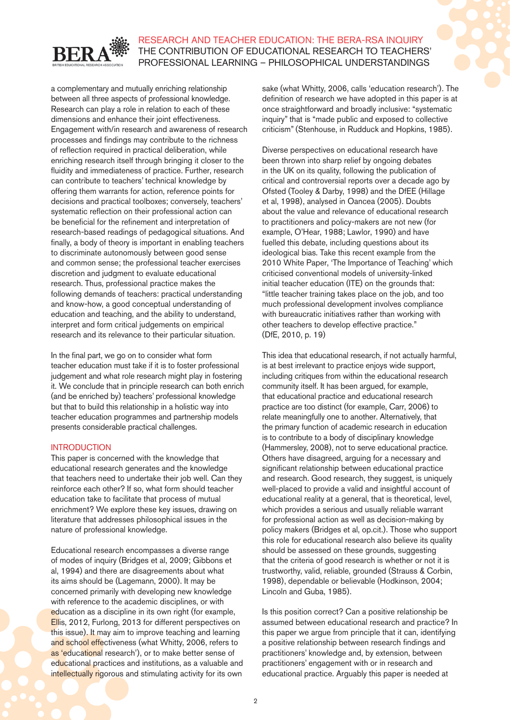

a complementary and mutually enriching relationship between all three aspects of professional knowledge. Research can play a role in relation to each of these dimensions and enhance their joint effectiveness. Engagement with/in research and awareness of research processes and findings may contribute to the richness of reflection required in practical deliberation, while enriching research itself through bringing it closer to the fluidity and immediateness of practice. Further, research can contribute to teachers' technical knowledge by offering them warrants for action, reference points for decisions and practical toolboxes; conversely, teachers' systematic reflection on their professional action can be beneficial for the refinement and interpretation of research-based readings of pedagogical situations. And finally, a body of theory is important in enabling teachers to discriminate autonomously between good sense and common sense; the professional teacher exercises discretion and judgment to evaluate educational research. Thus, professional practice makes the following demands of teachers: practical understanding and know-how, a good conceptual understanding of education and teaching, and the ability to understand, interpret and form critical judgements on empirical research and its relevance to their particular situation.

In the final part, we go on to consider what form teacher education must take if it is to foster professional judgement and what role research might play in fostering it. We conclude that in principle research can both enrich (and be enriched by) teachers' professional knowledge but that to build this relationship in a holistic way into teacher education programmes and partnership models presents considerable practical challenges.

#### **INTRODUCTION**

This paper is concerned with the knowledge that educational research generates and the knowledge that teachers need to undertake their job well. Can they reinforce each other? If so, what form should teacher education take to facilitate that process of mutual enrichment? We explore these key issues, drawing on literature that addresses philosophical issues in the nature of professional knowledge.

Educational research encompasses a diverse range of modes of inquiry (Bridges et al, 2009; Gibbons et al, 1994) and there are disagreements about what its aims should be (Lagemann, 2000). It may be concerned primarily with developing new knowledge with reference to the academic disciplines, or with education as a discipline in its own right (for example, Ellis, 2012, Furlong, 2013 for different perspectives on this issue). It may aim to improve teaching and learning and school effectiveness (what Whitty, 2006, refers to as 'educational research'), or to make better sense of educational practices and institutions, as a valuable and intellectually rigorous and stimulating activity for its own

sake (what Whitty, 2006, calls 'education research'). The definition of research we have adopted in this paper is at once straightforward and broadly inclusive: "systematic inquiry" that is "made public and exposed to collective criticism" (Stenhouse, in Rudduck and Hopkins, 1985).

Diverse perspectives on educational research have been thrown into sharp relief by ongoing debates in the UK on its quality, following the publication of critical and controversial reports over a decade ago by Ofsted (Tooley & Darby, 1998) and the DfEE (Hillage et al, 1998), analysed in Oancea (2005). Doubts about the value and relevance of educational research to practitioners and policy-makers are not new (for example, O'Hear, 1988; Lawlor, 1990) and have fuelled this debate, including questions about its ideological bias. Take this recent example from the 2010 White Paper, 'The Importance of Teaching' which criticised conventional models of university-linked initial teacher education (ITE) on the grounds that: "little teacher training takes place on the job, and too much professional development involves compliance with bureaucratic initiatives rather than working with other teachers to develop effective practice." (DfE, 2010, p. 19)

This idea that educational research, if not actually harmful, is at best irrelevant to practice enjoys wide support, including critiques from within the educational research community itself. It has been argued, for example, that educational practice and educational research practice are too distinct (for example, Carr, 2006) to relate meaningfully one to another. Alternatively, that the primary function of academic research in education is to contribute to a body of disciplinary knowledge (Hammersley, 2008), not to serve educational practice. Others have disagreed, arguing for a necessary and significant relationship between educational practice and research. Good research, they suggest, is uniquely well-placed to provide a valid and insightful account of educational reality at a general, that is theoretical, level, which provides a serious and usually reliable warrant for professional action as well as decision-making by policy makers (Bridges et al, op.cit.). Those who support this role for educational research also believe its quality should be assessed on these grounds, suggesting that the criteria of good research is whether or not it is trustworthy, valid, reliable, grounded (Strauss & Corbin, 1998), dependable or believable (Hodkinson, 2004; Lincoln and Guba, 1985).

Is this position correct? Can a positive relationship be assumed between educational research and practice? In this paper we argue from principle that it can, identifying a positive relationship between research findings and practitioners' knowledge and, by extension, between practitioners' engagement with or in research and educational practice. Arguably this paper is needed at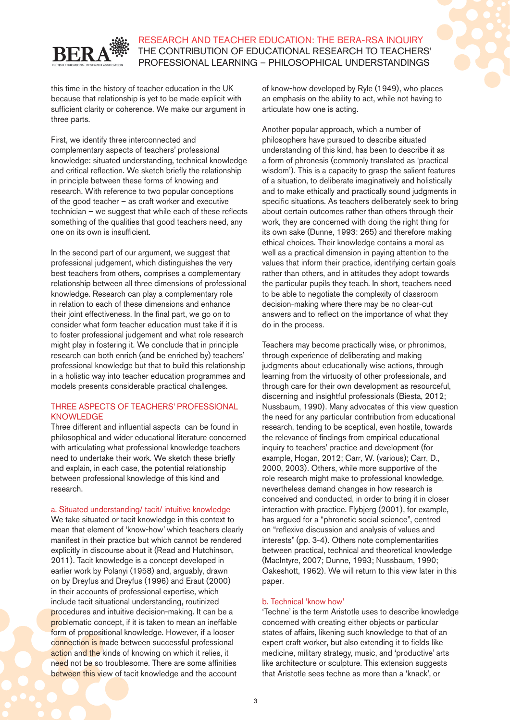

this time in the history of teacher education in the UK because that relationship is yet to be made explicit with sufficient clarity or coherence. We make our argument in three parts.

First, we identify three interconnected and complementary aspects of teachers' professional knowledge: situated understanding, technical knowledge and critical reflection. We sketch briefly the relationship in principle between these forms of knowing and research. With reference to two popular conceptions of the good teacher – as craft worker and executive technician – we suggest that while each of these reflects something of the qualities that good teachers need, any one on its own is insufficient.

In the second part of our argument, we suggest that professional judgement, which distinguishes the very best teachers from others, comprises a complementary relationship between all three dimensions of professional knowledge. Research can play a complementary role in relation to each of these dimensions and enhance their joint effectiveness. In the final part, we go on to consider what form teacher education must take if it is to foster professional judgement and what role research might play in fostering it. We conclude that in principle research can both enrich (and be enriched by) teachers' professional knowledge but that to build this relationship in a holistic way into teacher education programmes and models presents considerable practical challenges.

#### Three aspects of teachers' professional **KNOWLEDGE**

Three different and influential aspects can be found in philosophical and wider educational literature concerned with articulating what professional knowledge teachers need to undertake their work. We sketch these briefly and explain, in each case, the potential relationship between professional knowledge of this kind and research.

#### a. Situated understanding/ tacit/ intuitive knowledge

We take situated or tacit knowledge in this context to mean that element of 'know-how' which teachers clearly manifest in their practice but which cannot be rendered explicitly in discourse about it (Read and Hutchinson, 2011). Tacit knowledge is a concept developed in earlier work by Polanyi (1958) and, arguably, drawn on by Dreyfus and Dreyfus (1996) and Eraut (2000) in their accounts of professional expertise, which include tacit situational understanding, routinized procedures and intuitive decision-making. It can be a problematic concept, if it is taken to mean an ineffable form of propositional knowledge. However, if a looser connection is made between successful professional action and the kinds of knowing on which it relies, it need not be so troublesome. There are some affinities between this view of tacit knowledge and the account

of know-how developed by Ryle (1949), who places an emphasis on the ability to act, while not having to articulate how one is acting.

Another popular approach, which a number of philosophers have pursued to describe situated understanding of this kind, has been to describe it as a form of phronesis (commonly translated as 'practical wisdom'). This is a capacity to grasp the salient features of a situation, to deliberate imaginatively and holistically and to make ethically and practically sound judgments in specific situations. As teachers deliberately seek to bring about certain outcomes rather than others through their work, they are concerned with doing the right thing for its own sake (Dunne, 1993: 265) and therefore making ethical choices. Their knowledge contains a moral as well as a practical dimension in paying attention to the values that inform their practice, identifying certain goals rather than others, and in attitudes they adopt towards the particular pupils they teach. In short, teachers need to be able to negotiate the complexity of classroom decision-making where there may be no clear-cut answers and to reflect on the importance of what they do in the process.

Teachers may become practically wise, or phronimos, through experience of deliberating and making judgments about educationally wise actions, through learning from the virtuosity of other professionals, and through care for their own development as resourceful, discerning and insightful professionals (Biesta, 2012; Nussbaum, 1990). Many advocates of this view question the need for any particular contribution from educational research, tending to be sceptical, even hostile, towards the relevance of findings from empirical educational inquiry to teachers' practice and development (for example, Hogan, 2012; Carr, W. (various); Carr, D., 2000, 2003). Others, while more supportive of the role research might make to professional knowledge, nevertheless demand changes in how research is conceived and conducted, in order to bring it in closer interaction with practice. Flybjerg (2001), for example, has argued for a "phronetic social science", centred on "reflexive discussion and analysis of values and interests" (pp. 3-4). Others note complementarities between practical, technical and theoretical knowledge (MacIntyre, 2007; Dunne, 1993; Nussbaum, 1990; Oakeshott, 1962). We will return to this view later in this paper.

#### b. Technical 'know how'

'Techne' is the term Aristotle uses to describe knowledge concerned with creating either objects or particular states of affairs, likening such knowledge to that of an expert craft worker, but also extending it to fields like medicine, military strategy, music, and 'productive' arts like architecture or sculpture. This extension suggests that Aristotle sees techne as more than a 'knack', or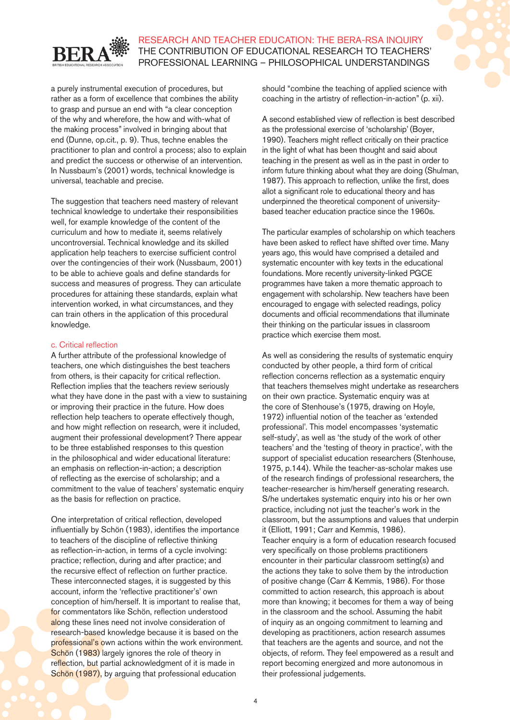

a purely instrumental execution of procedures, but rather as a form of excellence that combines the ability to grasp and pursue an end with "a clear conception of the why and wherefore, the how and with-what of the making process" involved in bringing about that end (Dunne, op.cit., p. 9). Thus, techne enables the practitioner to plan and control a process; also to explain and predict the success or otherwise of an intervention. In Nussbaum's (2001) words, technical knowledge is universal, teachable and precise.

The suggestion that teachers need mastery of relevant technical knowledge to undertake their responsibilities well, for example knowledge of the content of the curriculum and how to mediate it, seems relatively uncontroversial. Technical knowledge and its skilled application help teachers to exercise sufficient control over the contingencies of their work (Nussbaum, 2001) to be able to achieve goals and define standards for success and measures of progress. They can articulate procedures for attaining these standards, explain what intervention worked, in what circumstances, and they can train others in the application of this procedural knowledge.

#### c. Critical reflection

A further attribute of the professional knowledge of teachers, one which distinguishes the best teachers from others, is their capacity for critical reflection. Reflection implies that the teachers review seriously what they have done in the past with a view to sustaining or improving their practice in the future. How does reflection help teachers to operate effectively though, and how might reflection on research, were it included, augment their professional development? There appear to be three established responses to this question in the philosophical and wider educational literature: an emphasis on reflection-in-action; a description of reflecting as the exercise of scholarship; and a commitment to the value of teachers' systematic enquiry as the basis for reflection on practice.

One interpretation of critical reflection, developed influentially by Schön (1983), identifies the importance to teachers of the discipline of reflective thinking as reflection-in-action, in terms of a cycle involving: practice; reflection, during and after practice; and the recursive effect of reflection on further practice. These interconnected stages, it is suggested by this account, inform the 'reflective practitioner's' own conception of him/herself. It is important to realise that, for commentators like Schön, reflection understood along these lines need not involve consideration of research-based knowledge because it is based on the professional's own actions within the work environment. Schön (1983) largely ignores the role of theory in reflection, but partial acknowledgment of it is made in Schön (1987), by arguing that professional education

should "combine the teaching of applied science with coaching in the artistry of reflection-in-action" (p. xii).

A second established view of reflection is best described as the professional exercise of 'scholarship' (Boyer, 1990). Teachers might reflect critically on their practice in the light of what has been thought and said about teaching in the present as well as in the past in order to inform future thinking about what they are doing (Shulman, 1987). This approach to reflection, unlike the first, does allot a significant role to educational theory and has underpinned the theoretical component of universitybased teacher education practice since the 1960s.

The particular examples of scholarship on which teachers have been asked to reflect have shifted over time. Many years ago, this would have comprised a detailed and systematic encounter with key texts in the educational foundations. More recently university-linked PGCE programmes have taken a more thematic approach to engagement with scholarship. New teachers have been encouraged to engage with selected readings, policy documents and official recommendations that illuminate their thinking on the particular issues in classroom practice which exercise them most.

As well as considering the results of systematic enquiry conducted by other people, a third form of critical reflection concerns reflection as a systematic enquiry that teachers themselves might undertake as researchers on their own practice. Systematic enquiry was at the core of Stenhouse's (1975, drawing on Hoyle, 1972) influential notion of the teacher as 'extended professional'. This model encompasses 'systematic self-study', as well as 'the study of the work of other teachers' and the 'testing of theory in practice', with the support of specialist education researchers (Stenhouse, 1975, p.144). While the teacher-as-scholar makes use of the research findings of professional researchers, the teacher-researcher is him/herself generating research. S/he undertakes systematic enquiry into his or her own practice, including not just the teacher's work in the classroom, but the assumptions and values that underpin it (Elliott, 1991; Carr and Kemmis, 1986). Teacher enquiry is a form of education research focused very specifically on those problems practitioners encounter in their particular classroom setting(s) and the actions they take to solve them by the introduction of positive change (Carr & Kemmis, 1986). For those committed to action research, this approach is about more than knowing; it becomes for them a way of being in the classroom and the school. Assuming the habit of inquiry as an ongoing commitment to learning and developing as practitioners, action research assumes that teachers are the agents and source, and not the objects, of reform. They feel empowered as a result and report becoming energized and more autonomous in their professional judgements.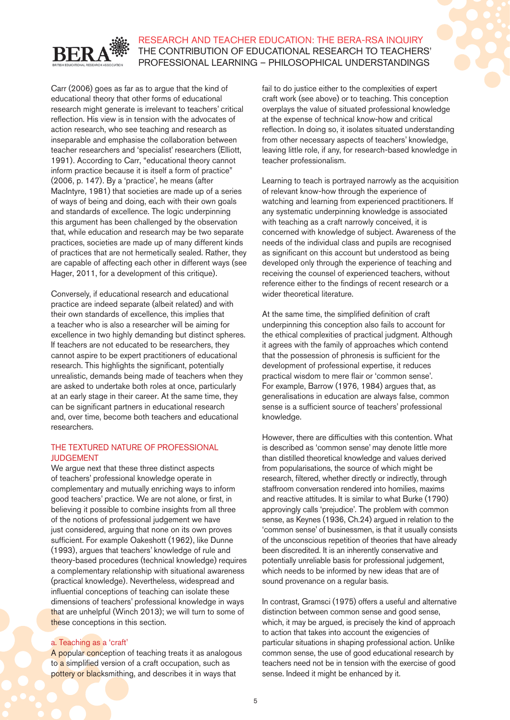

Carr (2006) goes as far as to argue that the kind of educational theory that other forms of educational research might generate is irrelevant to teachers' critical reflection. His view is in tension with the advocates of action research, who see teaching and research as inseparable and emphasise the collaboration between teacher researchers and 'specialist' researchers (Elliott, 1991). According to Carr, "educational theory cannot inform practice because it is itself a form of practice" (2006, p. 147). By a 'practice', he means (after MacIntyre, 1981) that societies are made up of a series of ways of being and doing, each with their own goals and standards of excellence. The logic underpinning this argument has been challenged by the observation that, while education and research may be two separate practices, societies are made up of many different kinds of practices that are not hermetically sealed. Rather, they are capable of affecting each other in different ways (see Hager, 2011, for a development of this critique).

Conversely, if educational research and educational practice are indeed separate (albeit related) and with their own standards of excellence, this implies that a teacher who is also a researcher will be aiming for excellence in two highly demanding but distinct spheres. If teachers are not educated to be researchers, they cannot aspire to be expert practitioners of educational research. This highlights the significant, potentially unrealistic, demands being made of teachers when they are asked to undertake both roles at once, particularly at an early stage in their career. At the same time, they can be significant partners in educational research and, over time, become both teachers and educational researchers.

#### THE TEXTURED NATURE OF PROFESSIONAL **JUDGEMENT**

We argue next that these three distinct aspects of teachers' professional knowledge operate in complementary and mutually enriching ways to inform good teachers' practice. We are not alone, or first, in believing it possible to combine insights from all three of the notions of professional judgement we have just considered, arguing that none on its own proves sufficient. For example Oakeshott (1962), like Dunne (1993), argues that teachers' knowledge of rule and theory-based procedures (technical knowledge) requires a complementary relationship with situational awareness (practical knowledge). Nevertheless, widespread and influential conceptions of teaching can isolate these dimensions of teachers' professional knowledge in ways that are unhelpful (Winch 2013); we will turn to some of these conceptions in this section.

#### a. Teaching as a 'craft'

A popular conception of teaching treats it as analogous to a simplified version of a craft occupation, such as pottery or blacksmithing, and describes it in ways that

fail to do justice either to the complexities of expert craft work (see above) or to teaching. This conception overplays the value of situated professional knowledge at the expense of technical know-how and critical reflection. In doing so, it isolates situated understanding from other necessary aspects of teachers' knowledge, leaving little role, if any, for research-based knowledge in teacher professionalism.

Learning to teach is portrayed narrowly as the acquisition of relevant know-how through the experience of watching and learning from experienced practitioners. If any systematic underpinning knowledge is associated with teaching as a craft narrowly conceived, it is concerned with knowledge of subject. Awareness of the needs of the individual class and pupils are recognised as significant on this account but understood as being developed only through the experience of teaching and receiving the counsel of experienced teachers, without reference either to the findings of recent research or a wider theoretical literature.

At the same time, the simplified definition of craft underpinning this conception also fails to account for the ethical complexities of practical judgment. Although it agrees with the family of approaches which contend that the possession of phronesis is sufficient for the development of professional expertise, it reduces practical wisdom to mere flair or 'common sense'. For example, Barrow (1976, 1984) argues that, as generalisations in education are always false, common sense is a sufficient source of teachers' professional knowledge.

However, there are difficulties with this contention. What is described as 'common sense' may denote little more than distilled theoretical knowledge and values derived from popularisations, the source of which might be research, filtered, whether directly or indirectly, through staffroom conversation rendered into homilies, maxims and reactive attitudes. It is similar to what Burke (1790) approvingly calls 'prejudice'. The problem with common sense, as Keynes (1936, Ch.24) argued in relation to the 'common sense' of businessmen, is that it usually consists of the unconscious repetition of theories that have already been discredited. It is an inherently conservative and potentially unreliable basis for professional judgement, which needs to be informed by new ideas that are of sound provenance on a regular basis.

In contrast, Gramsci (1975) offers a useful and alternative distinction between common sense and good sense, which, it may be argued, is precisely the kind of approach to action that takes into account the exigencies of particular situations in shaping professional action. Unlike common sense, the use of good educational research by teachers need not be in tension with the exercise of good sense. Indeed it might be enhanced by it.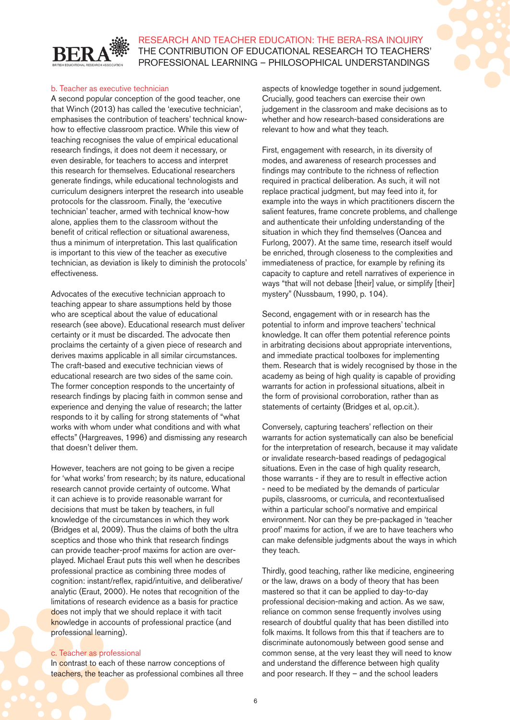

#### b. Teacher as executive technician

A second popular conception of the good teacher, one that Winch (2013) has called the 'executive technician', emphasises the contribution of teachers' technical knowhow to effective classroom practice. While this view of teaching recognises the value of empirical educational research findings, it does not deem it necessary, or even desirable, for teachers to access and interpret this research for themselves. Educational researchers generate findings, while educational technologists and curriculum designers interpret the research into useable protocols for the classroom. Finally, the 'executive technician' teacher, armed with technical know-how alone, applies them to the classroom without the benefit of critical reflection or situational awareness, thus a minimum of interpretation. This last qualification is important to this view of the teacher as executive technician, as deviation is likely to diminish the protocols' effectiveness.

Advocates of the executive technician approach to teaching appear to share assumptions held by those who are sceptical about the value of educational research (see above). Educational research must deliver certainty or it must be discarded. The advocate then proclaims the certainty of a given piece of research and derives maxims applicable in all similar circumstances. The craft-based and executive technician views of educational research are two sides of the same coin. The former conception responds to the uncertainty of research findings by placing faith in common sense and experience and denying the value of research; the latter responds to it by calling for strong statements of "what works with whom under what conditions and with what effects" (Hargreaves, 1996) and dismissing any research that doesn't deliver them.

However, teachers are not going to be given a recipe for 'what works' from research; by its nature, educational research cannot provide certainty of outcome. What it can achieve is to provide reasonable warrant for decisions that must be taken by teachers, in full knowledge of the circumstances in which they work (Bridges et al, 2009). Thus the claims of both the ultra sceptics and those who think that research findings can provide teacher-proof maxims for action are overplayed. Michael Eraut puts this well when he describes professional practice as combining three modes of cognition: instant/reflex, rapid/intuitive, and deliberative/ analytic (Eraut, 2000). He notes that recognition of the limitations of research evidence as a basis for practice does not imply that we should replace it with tacit knowledge in accounts of professional practice (and professional learning).

#### c. Teacher as professional

In contrast to each of these narrow conceptions of teachers, the teacher as professional combines all three

aspects of knowledge together in sound judgement. Crucially, good teachers can exercise their own judgement in the classroom and make decisions as to whether and how research-based considerations are relevant to how and what they teach.

First, engagement with research, in its diversity of modes, and awareness of research processes and findings may contribute to the richness of reflection required in practical deliberation. As such, it will not replace practical judgment, but may feed into it, for example into the ways in which practitioners discern the salient features, frame concrete problems, and challenge and authenticate their unfolding understanding of the situation in which they find themselves (Oancea and Furlong, 2007). At the same time, research itself would be enriched, through closeness to the complexities and immediateness of practice, for example by refining its capacity to capture and retell narratives of experience in ways "that will not debase [their] value, or simplify [their] mystery" (Nussbaum, 1990, p. 104).

Second, engagement with or in research has the potential to inform and improve teachers' technical knowledge. It can offer them potential reference points in arbitrating decisions about appropriate interventions, and immediate practical toolboxes for implementing them. Research that is widely recognised by those in the academy as being of high quality is capable of providing warrants for action in professional situations, albeit in the form of provisional corroboration, rather than as statements of certainty (Bridges et al, op.cit.).

Conversely, capturing teachers' reflection on their warrants for action systematically can also be beneficial for the interpretation of research, because it may validate or invalidate research-based readings of pedagogical situations. Even in the case of high quality research, those warrants - if they are to result in effective action - need to be mediated by the demands of particular pupils, classrooms, or curricula, and recontextualised within a particular school's normative and empirical environment. Nor can they be pre-packaged in 'teacher proof' maxims for action, if we are to have teachers who can make defensible judgments about the ways in which they teach.

Thirdly, good teaching, rather like medicine, engineering or the law, draws on a body of theory that has been mastered so that it can be applied to day-to-day professional decision-making and action. As we saw, reliance on common sense frequently involves using research of doubtful quality that has been distilled into folk maxims. It follows from this that if teachers are to discriminate autonomously between good sense and common sense, at the very least they will need to know and understand the difference between high quality and poor research. If they – and the school leaders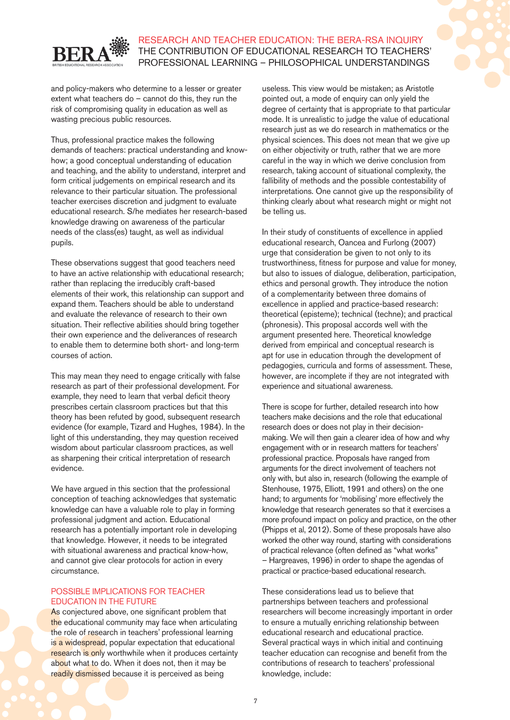

and policy-makers who determine to a lesser or greater extent what teachers do – cannot do this, they run the risk of compromising quality in education as well as wasting precious public resources.

Thus, professional practice makes the following demands of teachers: practical understanding and knowhow; a good conceptual understanding of education and teaching, and the ability to understand, interpret and form critical judgements on empirical research and its relevance to their particular situation. The professional teacher exercises discretion and judgment to evaluate educational research. S/he mediates her research-based knowledge drawing on awareness of the particular needs of the class(es) taught, as well as individual pupils.

These observations suggest that good teachers need to have an active relationship with educational research; rather than replacing the irreducibly craft-based elements of their work, this relationship can support and expand them. Teachers should be able to understand and evaluate the relevance of research to their own situation. Their reflective abilities should bring together their own experience and the deliverances of research to enable them to determine both short- and long-term courses of action.

This may mean they need to engage critically with false research as part of their professional development. For example, they need to learn that verbal deficit theory prescribes certain classroom practices but that this theory has been refuted by good, subsequent research evidence (for example, Tizard and Hughes, 1984). In the light of this understanding, they may question received wisdom about particular classroom practices, as well as sharpening their critical interpretation of research evidence.

We have argued in this section that the professional conception of teaching acknowledges that systematic knowledge can have a valuable role to play in forming professional judgment and action. Educational research has a potentially important role in developing that knowledge. However, it needs to be integrated with situational awareness and practical know-how, and cannot give clear protocols for action in every circumstance.

#### Possible implications for teacher education in the future

As conjectured above, one significant problem that the educational community may face when articulating the role of research in teachers' professional learning is a widespread, popular expectation that educational research is only worthwhile when it produces certainty about what to do. When it does not, then it may be readily dismissed because it is perceived as being

useless. This view would be mistaken; as Aristotle pointed out, a mode of enquiry can only yield the degree of certainty that is appropriate to that particular mode. It is unrealistic to judge the value of educational research just as we do research in mathematics or the physical sciences. This does not mean that we give up on either objectivity or truth, rather that we are more careful in the way in which we derive conclusion from research, taking account of situational complexity, the fallibility of methods and the possible contestability of interpretations. One cannot give up the responsibility of thinking clearly about what research might or might not be telling us.

In their study of constituents of excellence in applied educational research, Oancea and Furlong (2007) urge that consideration be given to not only to its trustworthiness, fitness for purpose and value for money, but also to issues of dialogue, deliberation, participation, ethics and personal growth. They introduce the notion of a complementarity between three domains of excellence in applied and practice-based research: theoretical (episteme); technical (techne); and practical (phronesis). This proposal accords well with the argument presented here. Theoretical knowledge derived from empirical and conceptual research is apt for use in education through the development of pedagogies, curricula and forms of assessment. These, however, are incomplete if they are not integrated with experience and situational awareness.

There is scope for further, detailed research into how teachers make decisions and the role that educational research does or does not play in their decisionmaking. We will then gain a clearer idea of how and why engagement with or in research matters for teachers' professional practice. Proposals have ranged from arguments for the direct involvement of teachers not only with, but also in, research (following the example of Stenhouse, 1975, Elliott, 1991 and others) on the one hand; to arguments for 'mobilising' more effectively the knowledge that research generates so that it exercises a more profound impact on policy and practice, on the other (Phipps et al, 2012). Some of these proposals have also worked the other way round, starting with considerations of practical relevance (often defined as "what works" – Hargreaves, 1996) in order to shape the agendas of practical or practice-based educational research.

These considerations lead us to believe that partnerships between teachers and professional researchers will become increasingly important in order to ensure a mutually enriching relationship between educational research and educational practice. Several practical ways in which initial and continuing teacher education can recognise and benefit from the contributions of research to teachers' professional knowledge, include: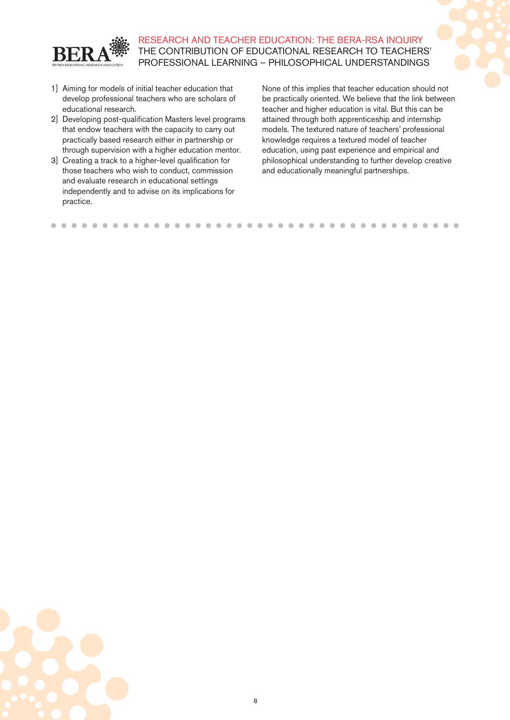

- 1] Aiming for models of initial teacher education that develop professional teachers who are scholars of educational research.
- 2] Developing post-qualification Masters level programs that endow teachers with the capacity to carry out practically based research either in partnership or through supervision with a higher education mentor.
- 3] Creating a track to a higher-level qualification for those teachers who wish to conduct, commission and evaluate research in educational settings independently and to advise on its implications for practice.

None of this implies that teacher education should not be practically oriented. We believe that the link between teacher and higher education is vital. But this can be attained through both apprenticeship and internship models. The textured nature of teachers' professional knowledge requires a textured model of teacher education, using past experience and empirical and philosophical understanding to further develop creative and educationally meaningful partnerships.

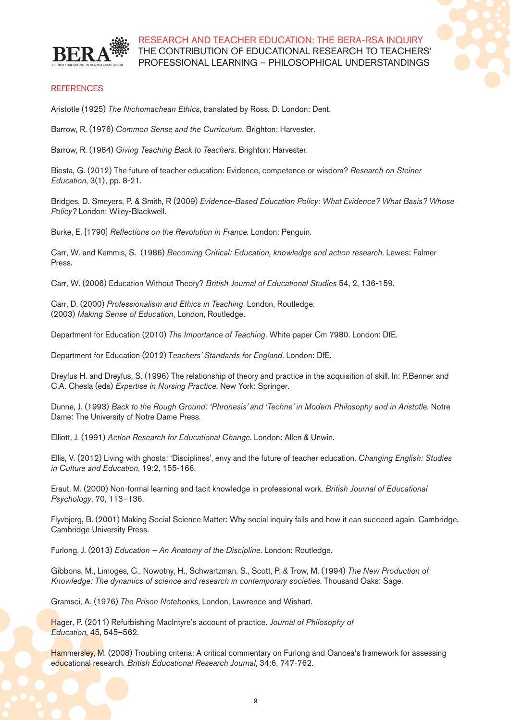



#### **REFERENCES**

Aristotle (1925) *The Nichomachean Ethics*, translated by Ross, D. London: Dent.

Barrow, R. (1976) *Common Sense and the Curriculum*. Brighton: Harvester.

Barrow, R. (1984) *Giving Teaching Back to Teachers*. Brighton: Harvester.

Biesta, G. (2012) The future of teacher education: Evidence, competence or wisdom? *Research on Steiner Education*, 3(1), pp. 8-21.

Bridges, D. Smeyers, P. & Smith, R (2009) *Evidence-Based Education Policy: What Evidence? What Basis? Whose Policy?* London: Wiley-Blackwell.

Burke, E. [1790] *Reflections on the Revolution in France.* London: Penguin.

Carr, W. and Kemmis, S. (1986) *Becoming Critical: Education, knowledge and action research.* Lewes: Falmer Press.

Carr, W. (2006) Education Without Theory? *British Journal of Educational Studies* 54, 2, 136-159.

Carr, D. (2000) *Professionalism and Ethics in Teaching*, London, Routledge. (2003) *Making Sense of Education*, London, Routledge.

Department for Education (2010) *The Importance of Teaching*. White paper Cm 7980. London: DfE.

Department for Education (2012) T*eachers' Standards for England*. London: DfE.

Dreyfus H. and Dreyfus, S. (1996) The relationship of theory and practice in the acquisition of skill. In: P.Benner and C.A. Chesla (eds) *Expertise in Nursing Practice*. New York: Springer.

Dunne, J. (1993) *Back to the Rough Ground: 'Phronesis' and 'Techne' in Modern Philosophy and in Aristotle*. Notre Dame: The University of Notre Dame Press.

Elliott, J. (1991) *Action Research for Educational Change*. London: Allen & Unwin.

Ellis, V. (2012) Living with ghosts: 'Disciplines', envy and the future of teacher education. *Changing English: Studies in Culture and Education*, 19:2, 155-166.

Eraut, M. (2000) Non-formal learning and tacit knowledge in professional work. *British Journal of Educational Psychology*, 70, 113–136.

Flyvbjerg, B. (2001) Making Social Science Matter: Why social inquiry fails and how it can succeed again. Cambridge, Cambridge University Press.

Furlong, J. (2013) *Education – An Anatomy of the Discipline*. London: Routledge.

Gibbons, M., Limoges, C., Nowotny, H., Schwartzman, S., Scott, P. & Trow, M. (1994) *The New Production of Knowledge: The dynamics of science and research in contemporary societies*. Thousand Oaks: Sage.

Gramsci, A. (1976) *The Prison Notebooks*, London, Lawrence and Wishart.

Hager, P. (2011) Refurbishing MacIntyre's account of practice. *Journal of Philosophy of Education*, 45, 545–562.

Hammersley, M. (2008) Troubling criteria: A critical commentary on Furlong and Oancea's framework for assessing educational research. *British Educational Research Journal*, 34:6, 747-762.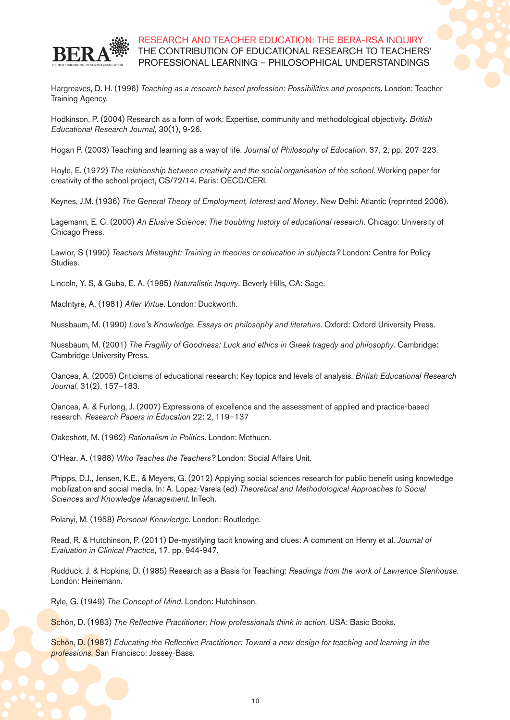

Hargreaves, D. H. (1996) *Teaching as a research based profession: Possibilities and prospects*. London: Teacher Training Agency.

Hodkinson, P. (2004) Research as a form of work: Expertise, community and methodological objectivity. *British Educational Research Journal*, 30(1), 9-26.

Hogan P. (2003) Teaching and learning as a way of life. *Journal of Philosophy of Education*, 37, 2, pp. 207-223.

Hoyle, E. (1972) *The relationship between creativity and the social organisation of the school*. Working paper for creativity of the school project, CS/72/14. Paris: OECD/CERI.

Keynes, J.M. (1936) *The General Theory of Employment, Interest and Money*. New Delhi: Atlantic (reprinted 2006).

Lagemann, E. C. (2000) *An Elusive Science: The troubling history of educational research*. Chicago: University of Chicago Press.

Lawlor, S (1990) *Teachers Mistaught: Training in theories or education in subjects?* London: Centre for Policy Studies.

Lincoln, Y. S, & Guba, E. A. (1985) *Naturalistic Inquiry*. Beverly Hills, CA: Sage.

MacIntyre, A. (1981) *After Virtue*. London: Duckworth.

Nussbaum, M. (1990) *Love's Knowledge. Essays on philosophy and literature*. Oxford: Oxford University Press.

Nussbaum, M. (2001) *The Fragility of Goodness: Luck and ethics in Greek tragedy and philosophy*. Cambridge: Cambridge University Press.

Oancea, A. (2005) Criticisms of educational research: Key topics and levels of analysis, *British Educational Research Journal*, 31(2), 157–183.

Oancea, A. & Furlong, J. (2007) Expressions of excellence and the assessment of applied and practice-based research. *Research Papers in Education* 22: 2, 119–137

Oakeshott, M. (1962) *Rationalism in Politics*. London: Methuen.

O'Hear, A. (1988) *Who Teaches the Teachers?* London: Social Affairs Unit.

Phipps, D.J., Jensen, K.E., & Meyers, G. (2012) Applying social sciences research for public benefit using knowledge mobilization and social media. In: A. Lopez-Varela (ed) *Theoretical and Methodological Approaches to Social Sciences and Knowledge Management.* InTech.

Polanyi, M. (1958) *Personal Knowledge*. London: Routledge.

Read, R. & Hutchinson, P. (2011) De-mystifying tacit knowing and clues: A comment on Henry et al. *Journal of Evaluation in Clinical Practice*, 17. pp. 944-947.

Rudduck, J. & Hopkins, D. (1985) Research as a Basis for Teaching: *Readings from the work of Lawrence Stenhouse*. London: Heinemann.

Ryle, G. (1949) *The Concept of Mind*. London: Hutchinson.

Schön, D. (1983) *The Reflective Practitioner: How professionals think in action*. USA: Basic Books.

Schön, D. (1987) *Educating the Reflective Practitioner: Toward a new design for teaching and learning in the professions*. San Francisco: Jossey-Bass.